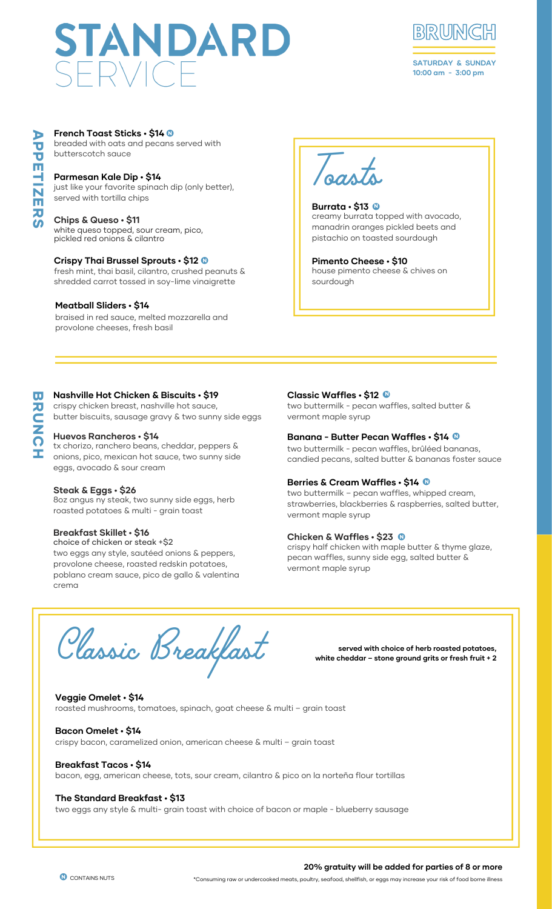# STANDARD



**SATURDAY & SUNDAY 10:00 am - 3:00 pm**

# **French Toast Sticks • \$14 0**

**French Toast Sticks • \$14 ®**<br>breaded with oats and pecans served with butterscotch sauce

#### **Parmesan Kale Dip • \$14**

just like your favorite spinach dip (only better), served with tortilla chips

#### **Chips & Queso • \$11**

white queso topped, sour cream, pico, pickled red onions & cilantro

#### **Crispy Thai Brussel Sprouts • \$12** N

**Crispy Thai Brussel Sprouts • \$12 ®**<br>fresh mint, thai basil, cilantro, crushed peanuts & shredded carrot tossed in soy-lime vinaigrette

#### **Meatball Sliders • \$14**

braised in red sauce, melted mozzarella and provolone cheeses, fresh basil



**Burrata • \$13 ®**<br>creamy burrata topped with avocado, manadrin oranges pickled beets and pistachio on toasted sourdough **Burrata • \$13** N

house pimento cheese & chives on sourdough **Pimento Cheese • \$10**

#### **Nashville Hot Chicken & Biscuits • \$19**

crispy chicken breast, nashville hot sauce, butter biscuits, sausage gravy & two sunny side eggs

#### **Huevos Rancheros • \$14**

tx chorizo, ranchero beans, cheddar, peppers & onions, pico, mexican hot sauce, two sunny side eggs, avocado & sour cream

#### **Steak & Eggs • \$26**

8oz angus ny steak, two sunny side eggs, herb roasted potatoes & multi - grain toast

#### **Breakfast Skillet • \$16**

choice of chicken or steak +\$2 two eggs any style, sautéed onions & peppers, provolone cheese, roasted redskin potatoes, poblano cream sauce, pico de gallo & valentina crema

# **Classic Waffles • \$12** • N

two buttermilk - pecan waffles, salted butter & vermont maple syrup

# **Banana - Butter Pecan Waffles • \$14** • N

two buttermilk - pecan waffles, brûléed bananas, candied pecans, salted butter & bananas foster sauce

# **Berries & Cream Waffles • \$14** • N

two buttermilk – pecan waffles, whipped cream, strawberries, blackberries & raspberries, salted butter, vermont maple syrup

# **Chicken & Waffles • \$23** • N

crispy half chicken with maple butter & thyme glaze, pecan waffles, sunny side egg, salted butter & vermont maple syrup

Classic Breakfast

**served with choice of herb roasted potatoes, white cheddar – stone ground grits or fresh fruit + 2**

roasted mushrooms, tomatoes, spinach, goat cheese & multi – grain toast **Veggie Omelet • \$14**

#### **Bacon Omelet • \$14**

**CONTAINS NUTS** 

crispy bacon, caramelized onion, american cheese & multi – grain toast

# **Breakfast Tacos • \$14**

bacon, egg, american cheese, tots, sour cream, cilantro & pico on la norteña flour tortillas

#### **The Standard Breakfast • \$13**

two eggs any style & multi- grain toast with choice of bacon or maple - blueberry sausage

#### **20% gratuity will be added for parties of 8 or more**

\*Consuming raw or undercooked meats, poultry, seafood, shellfish, or eggs may increase your risk of food borne illness

 $\overline{\mathbf{u}}$ **R**  $\blacksquare$ Z C H